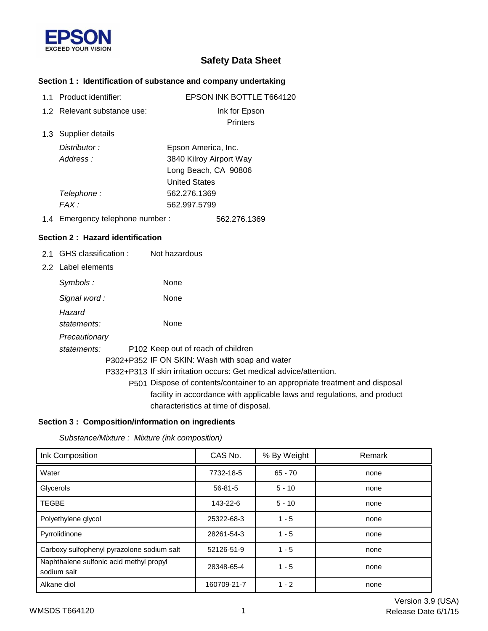

# **Safety Data Sheet**

### **Section 1 : Identification of substance and company undertaking**

| 1.1 Product identifier:          | <b>EPSON INK BOTTLE T664120</b>                                             |  |
|----------------------------------|-----------------------------------------------------------------------------|--|
| 1.2 Relevant substance use:      | Ink for Epson                                                               |  |
|                                  | <b>Printers</b>                                                             |  |
| 1.3 Supplier details             |                                                                             |  |
| Distributor:                     | Epson America, Inc.                                                         |  |
| Address:                         | 3840 Kilroy Airport Way                                                     |  |
|                                  | Long Beach, CA 90806                                                        |  |
|                                  | <b>United States</b>                                                        |  |
| Telephone:                       | 562.276.1369                                                                |  |
| FAX:                             | 562.997.5799                                                                |  |
| 1.4 Emergency telephone number : | 562.276.1369                                                                |  |
| Section 2: Hazard identification |                                                                             |  |
| 2.1 GHS classification:          | Not hazardous                                                               |  |
| 2.2 Label elements               |                                                                             |  |
| Symbols:                         | None                                                                        |  |
| Signal word:                     | None                                                                        |  |
| Hazard                           |                                                                             |  |
| statements:                      | None                                                                        |  |
| Precautionary                    |                                                                             |  |
| statements:                      | P102 Keep out of reach of children                                          |  |
|                                  | P302+P352 IF ON SKIN: Wash with soap and water                              |  |
|                                  | P332+P313 If skin irritation occurs: Get medical advice/attention.          |  |
|                                  | P501 Dispose of contents/container to an appropriate treatment and disposal |  |
|                                  | facility in accordance with applicable laws and regulations, and product    |  |

## **Section 3 : Composition/information on ingredients**

*Substance/Mixture : Mixture (ink composition)*

| Ink Composition                                        | CAS No.       | % By Weight | Remark |
|--------------------------------------------------------|---------------|-------------|--------|
| Water                                                  | 7732-18-5     | $65 - 70$   | none   |
| Glycerols                                              | $56 - 81 - 5$ | $5 - 10$    | none   |
| <b>TEGBE</b>                                           | 143-22-6      | $5 - 10$    | none   |
| Polyethylene glycol                                    | 25322-68-3    | $1 - 5$     | none   |
| Pyrrolidinone                                          | 28261-54-3    | $1 - 5$     | none   |
| Carboxy sulfophenyl pyrazolone sodium salt             | 52126-51-9    | $1 - 5$     | none   |
| Naphthalene sulfonic acid methyl propyl<br>sodium salt | 28348-65-4    | $1 - 5$     | none   |
| Alkane diol                                            | 160709-21-7   | $1 - 2$     | none   |

characteristics at time of disposal.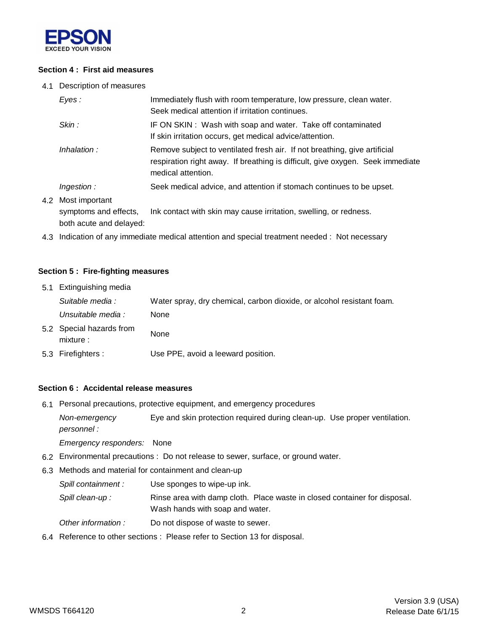

#### **Section 4 : First aid measures**

4.1 Description of measures

| Eyes:                                   | Immediately flush with room temperature, low pressure, clean water.<br>Seek medical attention if irritation continues.                                                            |
|-----------------------------------------|-----------------------------------------------------------------------------------------------------------------------------------------------------------------------------------|
| Skin :                                  | IF ON SKIN: Wash with soap and water. Take off contaminated<br>If skin irritation occurs, get medical advice/attention.                                                           |
| Inhalation:                             | Remove subject to ventilated fresh air. If not breathing, give artificial<br>respiration right away. If breathing is difficult, give oxygen. Seek immediate<br>medical attention. |
| Ingestion:                              | Seek medical advice, and attention if stomach continues to be upset.                                                                                                              |
| Most important<br>symptoms and effects, | Ink contact with skin may cause irritation, swelling, or redness.                                                                                                                 |

both acute and delayed:

4.2

4.3 Indication of any immediate medical attention and special treatment needed : Not necessary

#### **Section 5 : Fire-fighting measures**

| 5.1 Extinguishing media               |                                                                       |
|---------------------------------------|-----------------------------------------------------------------------|
| Suitable media :                      | Water spray, dry chemical, carbon dioxide, or alcohol resistant foam. |
| Unsuitable media :                    | <b>None</b>                                                           |
| 5.2 Special hazards from<br>mixture : | None                                                                  |
| 5.3 Firefighters :                    | Use PPE, avoid a leeward position.                                    |

#### **Section 6 : Accidental release measures**

6.1 Personal precautions, protective equipment, and emergency procedures

*Non-emergency* Eye and skin protection required during clean-up. Use proper ventilation. *personnel :*

*Emergency responders:* None

- 6.2 Environmental precautions : Do not release to sewer, surface, or ground water.
- 6.3 Methods and material for containment and clean-up

*Spill containment :* Use sponges to wipe-up ink.

Spill clean-up : Rinse area with damp cloth. Place waste in closed container for disposal. Wash hands with soap and water.

- *Other information :* Do not dispose of waste to sewer.
- 6.4 Reference to other sections : Please refer to Section 13 for disposal.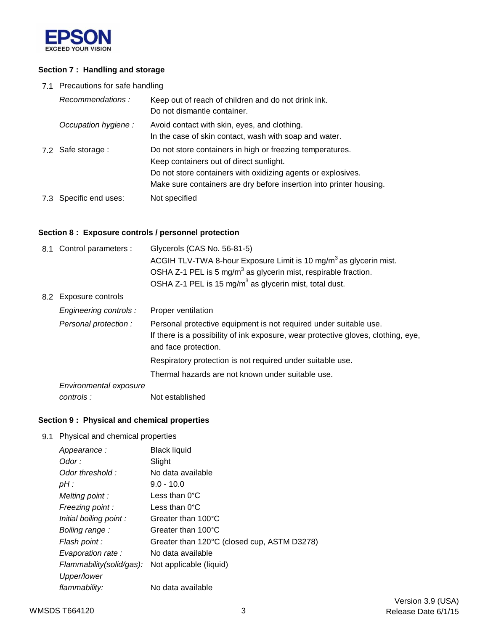

### **Section 7 : Handling and storage**

7.1 Precautions for safe handling

| Recommendations:       | Keep out of reach of children and do not drink ink.<br>Do not dismantle container.                                                                                                                                                          |
|------------------------|---------------------------------------------------------------------------------------------------------------------------------------------------------------------------------------------------------------------------------------------|
| Occupation hygiene:    | Avoid contact with skin, eyes, and clothing.<br>In the case of skin contact, wash with soap and water.                                                                                                                                      |
| 7.2 Safe storage :     | Do not store containers in high or freezing temperatures.<br>Keep containers out of direct sunlight.<br>Do not store containers with oxidizing agents or explosives.<br>Make sure containers are dry before insertion into printer housing. |
| 7.3 Specific end uses: | Not specified                                                                                                                                                                                                                               |

### **Section 8 : Exposure controls / personnel protection**

| 8.1 Control parameters : | Glycerols (CAS No. 56-81-5)<br>ACGIH TLV-TWA 8-hour Exposure Limit is 10 mg/m <sup>3</sup> as glycerin mist.<br>OSHA Z-1 PEL is 5 mg/m <sup>3</sup> as glycerin mist, respirable fraction.<br>OSHA Z-1 PEL is 15 mg/m <sup>3</sup> as glycerin mist, total dust. |
|--------------------------|------------------------------------------------------------------------------------------------------------------------------------------------------------------------------------------------------------------------------------------------------------------|
| 8.2 Exposure controls    |                                                                                                                                                                                                                                                                  |
| Engineering controls:    | Proper ventilation                                                                                                                                                                                                                                               |
| Personal protection :    | Personal protective equipment is not required under suitable use.<br>If there is a possibility of ink exposure, wear protective gloves, clothing, eye,<br>and face protection.                                                                                   |
|                          | Respiratory protection is not required under suitable use.                                                                                                                                                                                                       |
|                          | Thermal hazards are not known under suitable use.                                                                                                                                                                                                                |
| Environmental exposure   |                                                                                                                                                                                                                                                                  |
| controls:                | Not established                                                                                                                                                                                                                                                  |

### **Section 9 : Physical and chemical properties**

9.1 Physical and chemical properties

| Appearance:              | <b>Black liquid</b>                         |
|--------------------------|---------------------------------------------|
| Odor :                   | Slight                                      |
| Odor threshold:          | No data available                           |
| $pH$ :                   | $9.0 - 10.0$                                |
| Melting point:           | Less than $0^{\circ}$ C                     |
| Freezing point:          | Less than $0^{\circ}$ C                     |
| Initial boiling point:   | Greater than 100°C                          |
| Boiling range:           | Greater than 100°C                          |
| Flash point :            | Greater than 120°C (closed cup, ASTM D3278) |
| Evaporation rate :       | No data available                           |
| Flammability(solid/gas): | Not applicable (liquid)                     |
| Upper/lower              |                                             |
| flammability:            | No data available                           |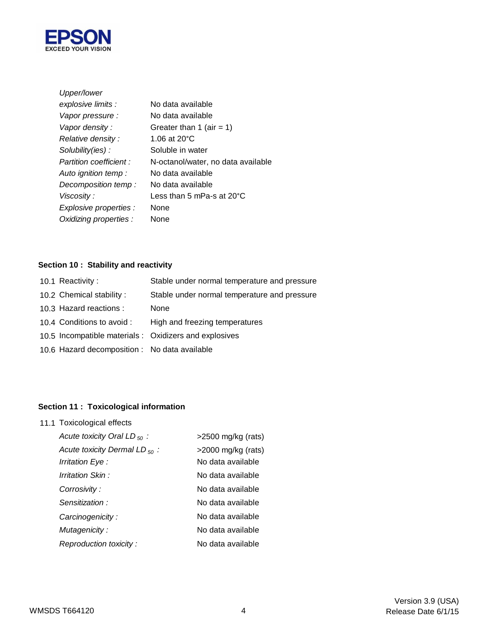

| Upper/lower            |                                    |
|------------------------|------------------------------------|
| explosive limits :     | No data available                  |
| Vapor pressure :       | No data available                  |
| Vapor density:         | Greater than 1 (air = 1)           |
| Relative density:      | 1.06 at 20 $^{\circ}$ C            |
| Solubility(ies):       | Soluble in water                   |
| Partition coefficient: | N-octanol/water, no data available |
| Auto ignition temp :   | No data available                  |
| Decomposition temp:    | No data available                  |
| Viscosity:             | Less than 5 mPa-s at 20°C          |
| Explosive properties : | None                               |
| Oxidizing properties : | None                               |

# **Section 10 : Stability and reactivity**

| 10.2 Chemical stability:<br>10.3 Hazard reactions :<br>None<br>High and freezing temperatures<br>10.4 Conditions to avoid :<br>10.5 Incompatible materials : Oxidizers and explosives<br>10.6 Hazard decomposition : No data available | 10.1 Reactivity: | Stable under normal temperature and pressure |
|----------------------------------------------------------------------------------------------------------------------------------------------------------------------------------------------------------------------------------------|------------------|----------------------------------------------|
|                                                                                                                                                                                                                                        |                  | Stable under normal temperature and pressure |
|                                                                                                                                                                                                                                        |                  |                                              |
|                                                                                                                                                                                                                                        |                  |                                              |
|                                                                                                                                                                                                                                        |                  |                                              |
|                                                                                                                                                                                                                                        |                  |                                              |

## **Section 11 : Toxicological information**

11.1 Toxicological effects

| Acute toxicity Oral LD $_{50}$ :   | $>2500$ mg/kg (rats)  |
|------------------------------------|-----------------------|
| Acute toxicity Dermal LD $_{50}$ : | $>$ 2000 mg/kg (rats) |
| Irritation Eye :                   | No data available     |
| Irritation Skin:                   | No data available     |
| Corrosivity:                       | No data available     |
| Sensitization:                     | No data available     |
| Carcinogenicity:                   | No data available     |
| Mutagenicity:                      | No data available     |
| Reproduction toxicity:             | No data available     |
|                                    |                       |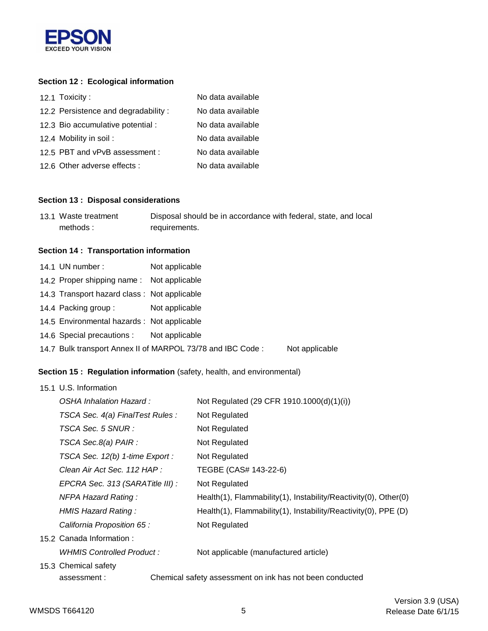

## **Section 12 : Ecological information**

| 12.1 Toxicity:                      | No data available |
|-------------------------------------|-------------------|
| 12.2 Persistence and degradability: | No data available |
| 12.3 Bio accumulative potential :   | No data available |
| 12.4 Mobility in soil:              | No data available |
| 12.5 PBT and vPvB assessment :      | No data available |
| 12.6 Other adverse effects :        | No data available |

#### **Section 13 : Disposal considerations**

| 13.1 Waste treatment | Disposal should be in accordance with federal, state, and local |
|----------------------|-----------------------------------------------------------------|
| methods:             | requirements.                                                   |

#### **Section 14 : Transportation information**

| 14.1 UN number:                             | Not applicable                                             |                |
|---------------------------------------------|------------------------------------------------------------|----------------|
| 14.2 Proper shipping name: Not applicable   |                                                            |                |
| 14.3 Transport hazard class: Not applicable |                                                            |                |
| 14.4 Packing group :                        | Not applicable                                             |                |
| 14.5 Environmental hazards : Not applicable |                                                            |                |
| 14.6 Special precautions : Not applicable   |                                                            |                |
|                                             | 14.7 Bulk transport Annex II of MARPOL 73/78 and IBC Code: | Not applicable |

### **Section 15 : Regulation information** (safety, health, and environmental)

| 15.1 U.S. Information            |                                                                 |  |  |
|----------------------------------|-----------------------------------------------------------------|--|--|
| OSHA Inhalation Hazard:          | Not Regulated (29 CFR 1910.1000(d)(1)(i))                       |  |  |
| TSCA Sec. 4(a) FinalTest Rules : | Not Regulated                                                   |  |  |
| TSCA Sec. 5 SNUR :               | Not Regulated                                                   |  |  |
| TSCA Sec.8(a) PAIR :             | Not Regulated                                                   |  |  |
| TSCA Sec. 12(b) 1-time Export :  | Not Regulated                                                   |  |  |
| Clean Air Act Sec. 112 HAP :     | TEGBE (CAS# 143-22-6)                                           |  |  |
| EPCRA Sec. 313 (SARATitle III) : | Not Regulated                                                   |  |  |
| <b>NFPA Hazard Rating:</b>       | Health(1), Flammability(1), Instability/Reactivity(0), Other(0) |  |  |
| HMIS Hazard Rating:              | Health(1), Flammability(1), Instability/Reactivity(0), PPE (D)  |  |  |
| California Proposition 65 :      | Not Regulated                                                   |  |  |
| 15.2 Canada Information:         |                                                                 |  |  |
| WHMIS Controlled Product:        | Not applicable (manufactured article)                           |  |  |
| 15.3 Chemical safety             |                                                                 |  |  |
| assessment:                      | Chemical safety assessment on ink has not been conducted        |  |  |